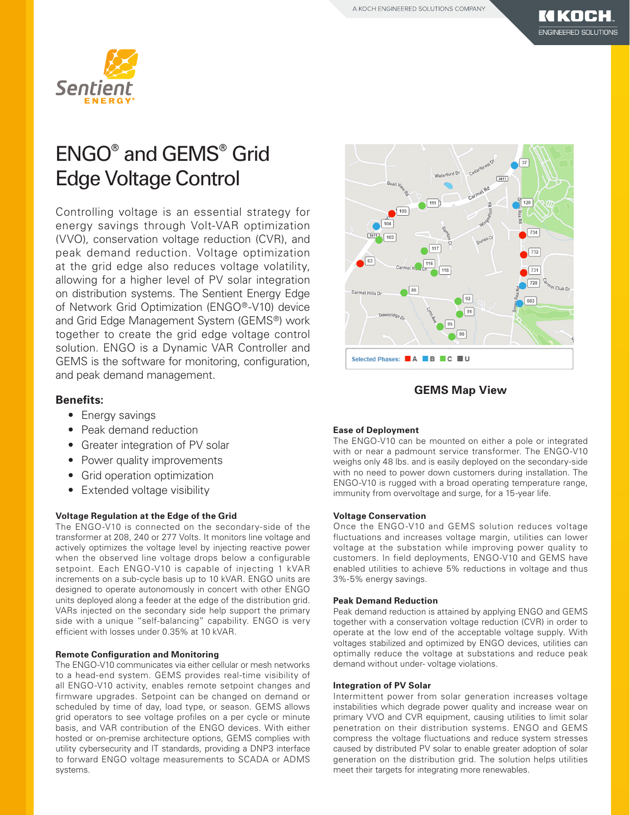

## ENGO® and GEMS® Grid Edge Voltage Control

Controlling voltage is an essential strategy for energy savings through Volt-VAR optimization (VVO), conservation voltage reduction (CVR), and peak demand reduction. Voltage optimization at the grid edge also reduces voltage volatility, allowing for a higher level of PV solar integration on distribution systems. The Sentient Energy Edge of Network Grid Optimization (ENGO®-V10) device and Grid Edge Management System (GEMS®) work together to create the grid edge voltage control solution. ENGO is a Dynamic VAR Controller and GEMS is the software for monitoring, configuration, and peak demand management.

### **Benefits:**

- Energy savings
- Peak demand reduction
- Greater integration of PV solar
- Power quality improvements
- Grid operation optimization
- Extended voltage visibility

#### **Voltage Regulation at the Edge of the Grid**

The ENGO-V10 is connected on the secondary-side of the transformer at 208, 240 or 277 Volts. It monitors line voltage and actively optimizes the voltage level by injecting reactive power when the observed line voltage drops below a configurable setpoint. Each ENGO-V10 is capable of injecting 1 kVAR increments on a sub-cycle basis up to 10 kVAR. ENGO units are designed to operate autonomously in concert with other ENGO units deployed along a feeder at the edge of the distribution grid. VARs injected on the secondary side help support the primary side with a unique "self-balancing" capability. ENGO is very efficient with losses under 0.35% at 10 kVAR.

#### **Remote Configuration and Monitoring**

The ENGO-V10 communicates via either cellular or mesh networks to a head-end system. GEMS provides real-time visibility of all ENGO-V10 activity, enables remote setpoint changes and firmware upgrades. Setpoint can be changed on demand or scheduled by time of day, load type, or season. GEMS allows grid operators to see voltage profiles on a per cycle or minute basis, and VAR contribution of the ENGO devices. With either hosted or on-premise architecture options, GEMS complies with utility cybersecurity and IT standards, providing a DNP3 interface to forward ENGO voltage measurements to SCADA or ADMS systems.



## **GEMS Map View**

#### **Ease of Deployment**

The ENGO-V10 can be mounted on either a pole or integrated with or near a padmount service transformer. The ENGO-V10 weighs only 48 lbs. and is easily deployed on the secondary-side with no need to power down customers during installation. The ENGO-V10 is rugged with a broad operating temperature range, immunity from overvoltage and surge, for a 15-year life.

#### **Voltage Conservation**

Once the ENGO-V10 and GEMS solution reduces voltage fluctuations and increases voltage margin, utilities can lower voltage at the substation while improving power quality to customers. In field deployments, ENGO-V10 and GEMS have enabled utilities to achieve 5% reductions in voltage and thus 3%-5% energy savings.

#### **Peak Demand Reduction**

Peak demand reduction is attained by applying ENGO and GEMS together with a conservation voltage reduction (CVR) in order to operate at the low end of the acceptable voltage supply. With voltages stabilized and optimized by ENGO devices, utilities can optimally reduce the voltage at substations and reduce peak demand without under- voltage violations.

#### **Integration of PV Solar**

Intermittent power from solar generation increases voltage instabilities which degrade power quality and increase wear on primary VVO and CVR equipment, causing utilities to limit solar penetration on their distribution systems. ENGO and GEMS compress the voltage fluctuations and reduce system stresses caused by distributed PV solar to enable greater adoption of solar generation on the distribution grid. The solution helps utilities meet their targets for integrating more renewables.